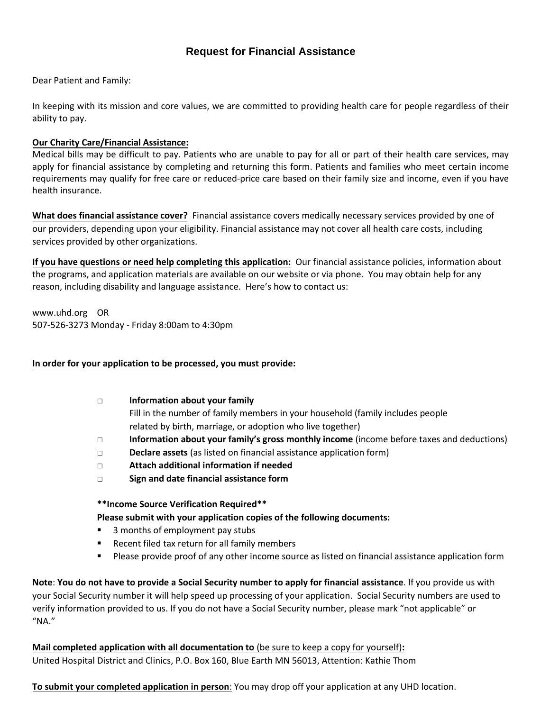## **Request for Financial Assistance**

Dear Patient and Family:

In keeping with its mission and core values, we are committed to providing health care for people regardless of their ability to pay.

#### **Our Charity Care/Financial Assistance:**

Medical bills may be difficult to pay. Patients who are unable to pay for all or part of their health care services, may apply for financial assistance by completing and returning this form. Patients and families who meet certain income requirements may qualify for free care or reduced-price care based on their family size and income, even if you have health insurance.

**What does financial assistance cover?** Financial assistance covers medically necessary services provided by one of our providers[, depending upon your eligibility. Financial assistance may](https://www2.providence.org/obp/states/OR/financial-assistance.html) not cover all health care costs, including services provided by other organizations.

**If you have questions or need help completing this application:** Our financial assistance policies, information about the programs, and application materials are available on our website or via phone. You may obtain help for any reason, including disability and language assistance. Here's how to contact us:

www.uhd.org OR [507-526-3273 Monday - Friday 8:00am to 4:30pm](https://www2.providence.org/obp/states/OR/financial-assistance.html)

#### **In order for your application to be processed, you must provide:**

- **□ Information about your family** Fill in the number of family members in your household (family includes people related by birth, marriage, or adoption who live together)
- **□ Information about your family's gross monthly income** (income before taxes and deductions)
- **□ Declare assets** (as listed on financial assistance application form)
- **□ Attach additional information if needed**
- **□ Sign and date financial assistance form**

#### **\*\*Income Source Verification Required\*\***

#### **Please submit with your application copies of the following documents:**

- 3 months of employment pay stubs
- **Recent filed tax return for all family members**
- **Please provide proof of any other income source as listed on financial assistance application form**

**Note**: **You do not have to provide a Social Security number to apply for financial assistance**. If you provide us with your Social Security number it will help speed up processing of your application. Social Security numbers are used to verify information provided to us. If you do not have a Social Security number, please mark "not applicable" or "NA."

**[Mail completed application with all documentation to](https://www2.providence.org/obp/states/OR/financial-assistance.html)** (be sure to keep a copy for yourself)**:** United Hospital District and Clinics, P.O. Box 160, Blue Earth MN 56013, Attention: Kathie Thom

**To submit your completed application in person**: You may drop off your application at any UHD location.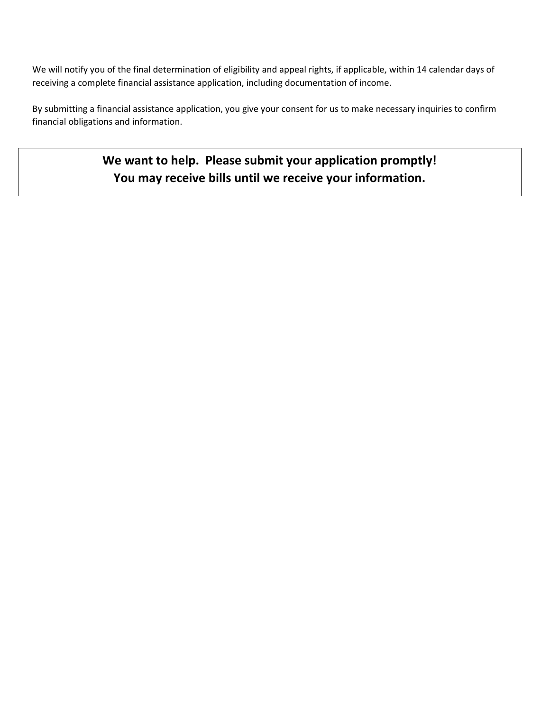We will notify you of the final determination of eligibility and appeal rights, if applicable, within 14 calendar days of receiving a complete financial assistance application, including documentation of income.

By submitting a financial assistance application, you give your consent for us to make necessary inquiries to confirm financial obligations and information.

> **We want to help. Please submit your application promptly! You may receive bills until we receive your information.**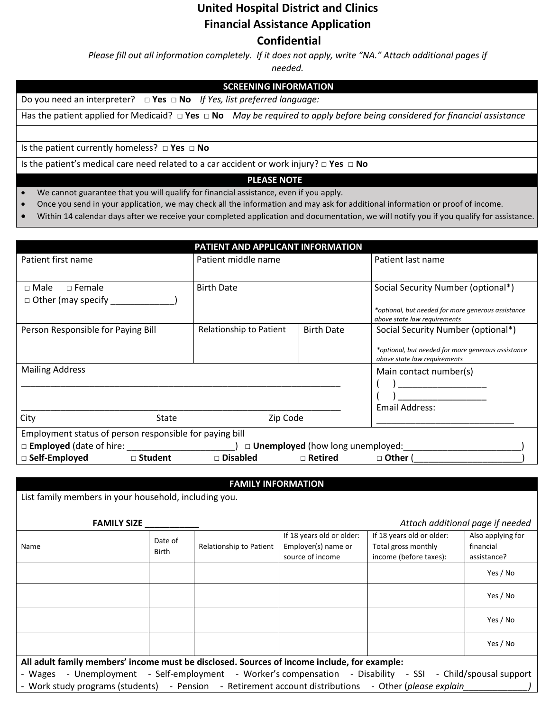# **United Hospital District and Clinics Financial Assistance Application Confidential**

*Please fill out all information completely. If it does not apply, write "NA." Attach additional pages if* 

*needed.* 

## **SCREENING INFORMATION**

Do you need an interpreter? **□ Yes □ No** *If Yes, list preferred language:*

Has the patient applied for Medicaid? **□ Yes □ No** *May be required to apply before being considered for financial assistance*

Is the patient currently homeless? **□ Yes □ No**

Is the patient's medical care need related to a car accident or work injury? **□ Yes □ No**

#### **PLEASE NOTE**

- We cannot guarantee that you will qualify for financial assistance, even if you apply.
- Once you send in your application, we may check all the information and may ask for additional information or proof of income.
- Within 14 calendar days after we receive your completed application and documentation, we will notify you if you qualify for assistance.

| PATIENT AND APPLICANT INFORMATION                                                   |                         |                   |                                                                                                                          |  |  |  |
|-------------------------------------------------------------------------------------|-------------------------|-------------------|--------------------------------------------------------------------------------------------------------------------------|--|--|--|
| Patient first name                                                                  | Patient middle name     |                   | Patient last name                                                                                                        |  |  |  |
| $\Box$ Female<br>$\sqcap$ Male<br>$\Box$ Other (may specify _                       | <b>Birth Date</b>       |                   | Social Security Number (optional*)<br>*optional, but needed for more generous assistance<br>above state law requirements |  |  |  |
| Person Responsible for Paying Bill                                                  | Relationship to Patient | <b>Birth Date</b> | Social Security Number (optional*)<br>*optional, but needed for more generous assistance<br>above state law requirements |  |  |  |
| <b>Mailing Address</b>                                                              |                         |                   | Main contact number(s)<br>Email Address:                                                                                 |  |  |  |
| City<br><b>State</b>                                                                | Zip Code                |                   |                                                                                                                          |  |  |  |
| Employment status of person responsible for paying bill                             |                         |                   |                                                                                                                          |  |  |  |
| $\square$ <b>Employed</b> (date of hire:<br>$\Box$ Unemployed (how long unemployed: |                         |                   |                                                                                                                          |  |  |  |
| □ Self-Employed<br>□ Student                                                        | □ Disabled              | $\Box$ Retired    | □ Other (                                                                                                                |  |  |  |

#### **FAMILY INFORMATION**

List family members in your household, including you.

 **FAMILY SIZE \_\_\_\_\_\_\_\_\_\_\_** *Attach additional page if needed*

| Attach additional page if needed |  |
|----------------------------------|--|
|----------------------------------|--|

| Name                                                                                                        | Date of<br><b>Birth</b> | Relationship to Patient | If 18 years old or older: | If 18 years old or older: | Also applying for |  |
|-------------------------------------------------------------------------------------------------------------|-------------------------|-------------------------|---------------------------|---------------------------|-------------------|--|
|                                                                                                             |                         |                         | Employer(s) name or       | Total gross monthly       | financial         |  |
|                                                                                                             |                         |                         | source of income          | income (before taxes):    | assistance?       |  |
|                                                                                                             |                         |                         |                           |                           | Yes / No          |  |
|                                                                                                             |                         |                         |                           |                           | Yes / No          |  |
|                                                                                                             |                         |                         |                           |                           | Yes / No          |  |
|                                                                                                             |                         |                         |                           |                           | Yes / No          |  |
| All adult family members' income must be disclosed. Sources of income include, for example:                 |                         |                         |                           |                           |                   |  |
| - Wages - Unemployment - Self-employment - Worker's compensation - Disability - SSI - Child/spousal support |                         |                         |                           |                           |                   |  |
| - Work study programs (students) - Pension - Retirement account distributions - Other (please explain       |                         |                         |                           |                           |                   |  |